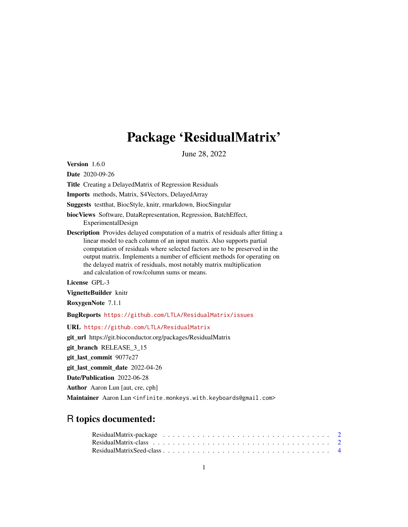## Package 'ResidualMatrix'

June 28, 2022

<span id="page-0-0"></span>Version 1.6.0

Date 2020-09-26

Title Creating a DelayedMatrix of Regression Residuals

Imports methods, Matrix, S4Vectors, DelayedArray

Suggests testthat, BiocStyle, knitr, rmarkdown, BiocSingular

biocViews Software, DataRepresentation, Regression, BatchEffect, ExperimentalDesign

Description Provides delayed computation of a matrix of residuals after fitting a linear model to each column of an input matrix. Also supports partial computation of residuals where selected factors are to be preserved in the output matrix. Implements a number of efficient methods for operating on the delayed matrix of residuals, most notably matrix multiplication and calculation of row/column sums or means.

License GPL-3

VignetteBuilder knitr

RoxygenNote 7.1.1

BugReports <https://github.com/LTLA/ResidualMatrix/issues>

URL <https://github.com/LTLA/ResidualMatrix>

git\_url https://git.bioconductor.org/packages/ResidualMatrix

git\_branch RELEASE\_3\_15

git\_last\_commit 9077e27

git\_last\_commit\_date 2022-04-26

Date/Publication 2022-06-28

Author Aaron Lun [aut, cre, cph]

Maintainer Aaron Lun <infinite.monkeys.with.keyboards@gmail.com>

### R topics documented: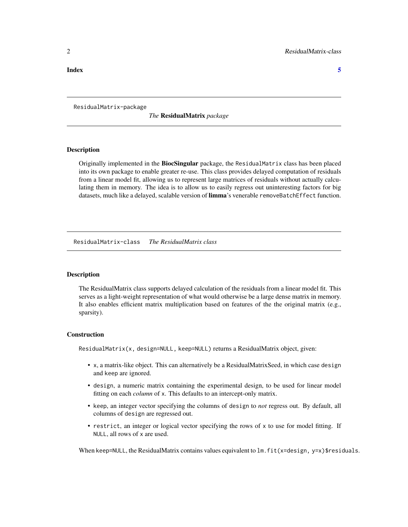#### <span id="page-1-0"></span>**Index** [5](#page-4-0). The second state of the second state of the second state of the second state of the second state of the second state of the second state of the second state of the second state of the second state of the second

ResidualMatrix-package

*The* ResidualMatrix *package*

#### **Description**

Originally implemented in the BiocSingular package, the ResidualMatrix class has been placed into its own package to enable greater re-use. This class provides delayed computation of residuals from a linear model fit, allowing us to represent large matrices of residuals without actually calculating them in memory. The idea is to allow us to easily regress out uninteresting factors for big datasets, much like a delayed, scalable version of *limma*'s venerable removeBatchEffect function.

<span id="page-1-1"></span>ResidualMatrix-class *The ResidualMatrix class*

#### <span id="page-1-2"></span>**Description**

The ResidualMatrix class supports delayed calculation of the residuals from a linear model fit. This serves as a light-weight representation of what would otherwise be a large dense matrix in memory. It also enables efficient matrix multiplication based on features of the the original matrix (e.g., sparsity).

#### Construction

ResidualMatrix(x, design=NULL, keep=NULL) returns a ResidualMatrix object, given:

- x, a matrix-like object. This can alternatively be a ResidualMatrixSeed, in which case design and keep are ignored.
- design, a numeric matrix containing the experimental design, to be used for linear model fitting on each *column* of x. This defaults to an intercept-only matrix.
- keep, an integer vector specifying the columns of design to *not* regress out. By default, all columns of design are regressed out.
- restrict, an integer or logical vector specifying the rows of x to use for model fitting. If NULL, all rows of x are used.

When keep=NULL, the ResidualMatrix contains values equivalent to  $lm.fit(x=design, y=x)$  fresiduals.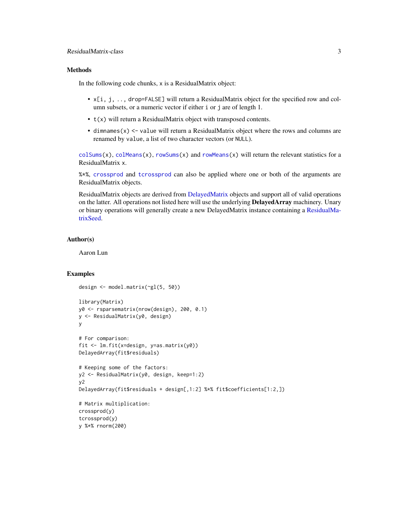#### <span id="page-2-0"></span>**Methods**

In the following code chunks, x is a ResidualMatrix object:

- x[i, j, .., drop=FALSE] will return a ResidualMatrix object for the specified row and column subsets, or a numeric vector if either i or j are of length 1.
- t(x) will return a ResidualMatrix object with transposed contents.
- dimnames $(x)$  <- value will return a ResidualMatrix object where the rows and columns are renamed by value, a list of two character vectors (or NULL).

 $colSums(x)$  $colSums(x)$ ,  $colMeans(x)$  $colMeans(x)$ ,  $rowSums(x)$  $rowSums(x)$  and  $rowMeans(x)$  $rowMeans(x)$  will return the relevant statistics for a ResidualMatrix x.

%\*%, [crossprod](#page-0-0) and [tcrossprod](#page-0-0) can also be applied where one or both of the arguments are ResidualMatrix objects.

ResidualMatrix objects are derived from [DelayedMatrix](#page-0-0) objects and support all of valid operations on the latter. All operations not listed here will use the underlying DelayedArray machinery. Unary or binary operations will generally create a new DelayedMatrix instance containing a [ResidualMa](#page-3-1)[trixSeed.](#page-3-1)

#### Author(s)

Aaron Lun

#### Examples

```
design <- model.matrix(~gl(5, 50))
library(Matrix)
y0 <- rsparsematrix(nrow(design), 200, 0.1)
y <- ResidualMatrix(y0, design)
y
# For comparison:
fit <- lm.fit(x=design, y=as.matrix(y0))
DelayedArray(fit$residuals)
# Keeping some of the factors:
y2 <- ResidualMatrix(y0, design, keep=1:2)
y2
DelayedArray(fit$residuals + design[,1:2] %*% fit$coefficients[1:2,])
# Matrix multiplication:
crossprod(y)
tcrossprod(y)
y %*% rnorm(200)
```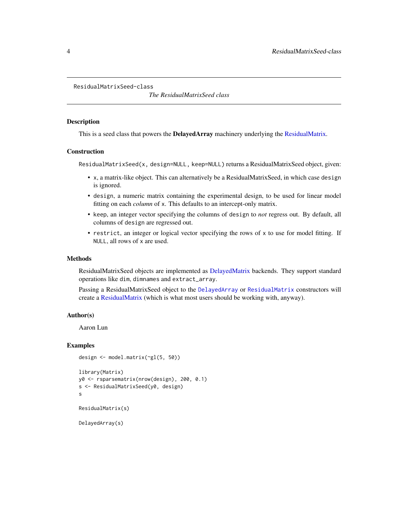<span id="page-3-1"></span><span id="page-3-0"></span>ResidualMatrixSeed-class

*The ResidualMatrixSeed class*

#### Description

This is a seed class that powers the **DelayedArray** machinery underlying the [ResidualMatrix.](#page-1-1)

#### **Construction**

ResidualMatrixSeed(x, design=NULL, keep=NULL) returns a ResidualMatrixSeed object, given:

- x, a matrix-like object. This can alternatively be a ResidualMatrixSeed, in which case design is ignored.
- design, a numeric matrix containing the experimental design, to be used for linear model fitting on each *column* of x. This defaults to an intercept-only matrix.
- keep, an integer vector specifying the columns of design to *not* regress out. By default, all columns of design are regressed out.
- restrict, an integer or logical vector specifying the rows of x to use for model fitting. If NULL, all rows of x are used.

#### Methods

ResidualMatrixSeed objects are implemented as [DelayedMatrix](#page-0-0) backends. They support standard operations like dim, dimnames and extract\_array.

Passing a ResidualMatrixSeed object to the [DelayedArray](#page-0-0) or [ResidualMatrix](#page-1-2) constructors will create a [ResidualMatrix](#page-1-1) (which is what most users should be working with, anyway).

#### Author(s)

Aaron Lun

#### Examples

```
design <- model.matrix(~gl(5, 50))
```

```
library(Matrix)
y0 <- rsparsematrix(nrow(design), 200, 0.1)
s <- ResidualMatrixSeed(y0, design)
s
```

```
ResidualMatrix(s)
```
DelayedArray(s)